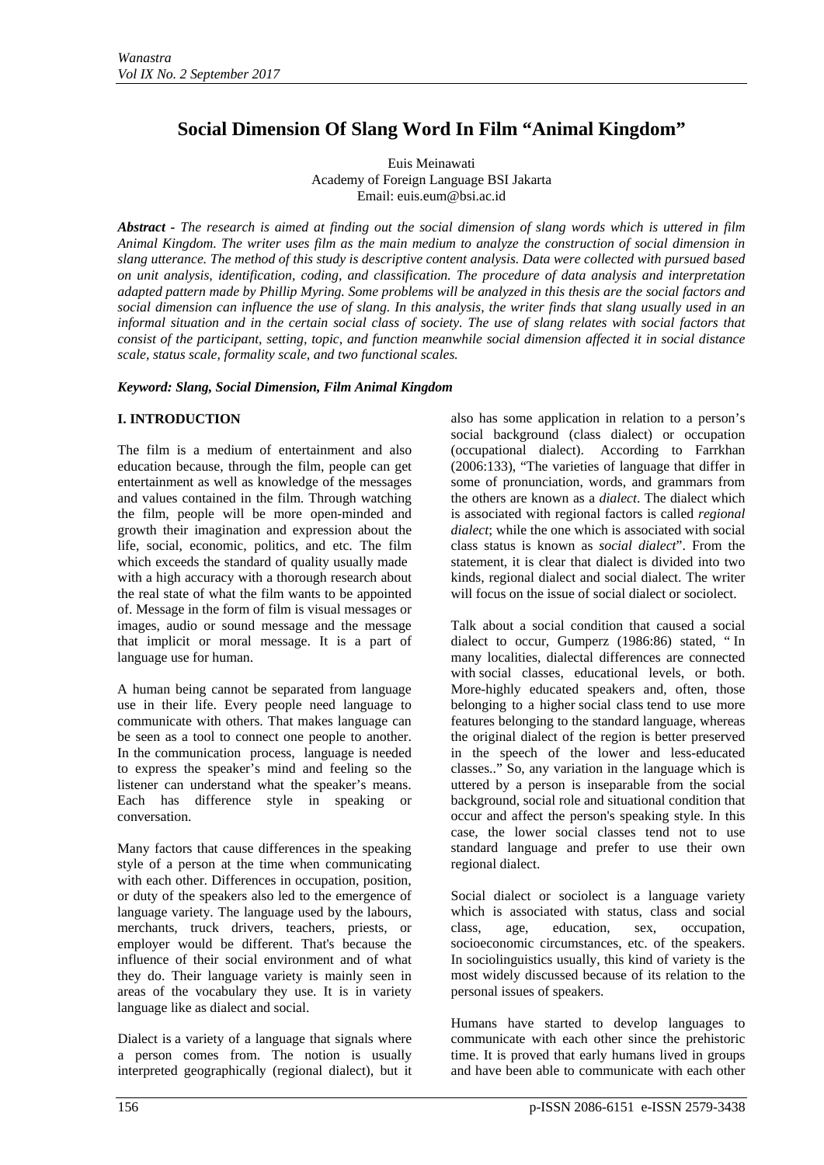# **Social Dimension Of Slang Word In Film "Animal Kingdom"**

Euis Meinawati Academy of Foreign Language BSI Jakarta Email: euis.eum@bsi.ac.id

*Abstract - The research is aimed at finding out the social dimension of slang words which is uttered in film Animal Kingdom. The writer uses film as the main medium to analyze the construction of social dimension in slang utterance. The method of this study is descriptive content analysis. Data were collected with pursued based on unit analysis, identification, coding, and classification. The procedure of data analysis and interpretation adapted pattern made by Phillip Myring. Some problems will be analyzed in this thesis are the social factors and*  social dimension can influence the use of slang. In this analysis, the writer finds that slang usually used in an *informal situation and in the certain social class of society. The use of slang relates with social factors that consist of the participant, setting, topic, and function meanwhile social dimension affected it in social distance scale, status scale, formality scale, and two functional scales.*

## *Keyword: Slang, Social Dimension, Film Animal Kingdom*

## **I. INTRODUCTION**

The film is a medium of entertainment and also education because, through the film, people can get entertainment as well as knowledge of the messages and values contained in the film. Through watching the film, people will be more open-minded and growth their imagination and expression about the life, social, economic, politics, and etc. The film which exceeds the standard of quality usually made with a high accuracy with a thorough research about the real state of what the film wants to be appointed of. Message in the form of film is visual messages or images, audio or sound message and the message that implicit or moral message. It is a part of language use for human.

A human being cannot be separated from language use in their life. Every people need language to communicate with others. That makes language can be seen as a tool to connect one people to another. In the communication process, language is needed to express the speaker's mind and feeling so the listener can understand what the speaker's means. Each has difference style in speaking or conversation.

Many factors that cause differences in the speaking style of a person at the time when communicating with each other. Differences in occupation, position, or duty of the speakers also led to the emergence of language variety. The language used by the labours, merchants, truck drivers, teachers, priests, or employer would be different. That's because the influence of their social environment and of what they do. Their language variety is mainly seen in areas of the vocabulary they use. It is in variety language like as dialect and social.

Dialect is a variety of a language that signals where a person comes from. The notion is usually interpreted geographically [\(regional dialect\)](http://www.britannica.com/EBchecked/topic/496067/regional-dialect), but it also has some application in relation to a person's social background (class dialect) or occupation (occupational dialect). According to Farrkhan (2006:133), "The varieties of language that differ in some of pronunciation, words, and grammars from the others are known as a *dialect*. The dialect which is associated with regional factors is called *regional dialect*; while the one which is associated with social class status is known as *social dialect*". From the statement, it is clear that dialect is divided into two kinds, regional dialect and social dialect. The writer will focus on the issue of social dialect or sociolect.

Talk about a social condition that caused a social dialect to occur, Gumperz (1986:86) stated, " In many localities, dialectal differences are connected with [social classes,](http://www.britannica.com/EBchecked/topic/550940/social-class) educational levels, or both. More-highly educated speakers and, often, those belonging to a higher [social class](http://www.britannica.com/EBchecked/topic/550940/social-class) tend to use more features belonging to the standard language, whereas the original dialect of the region is better preserved in the speech of the lower and less-educated classes.." So, any variation in the language which is uttered by a person is inseparable from the social background, social role and situational condition that occur and affect the person's speaking style. In this case, the lower social classes tend not to use standard language and prefer to use their own regional dialect.

Social dialect or sociolect is a language variety which is associated with status, class and social class, age, education, sex, occupation, socioeconomic circumstances, etc. of the speakers. In sociolinguistics usually, this kind of variety is the most widely discussed because of its relation to the personal issues of speakers.

Humans have started to develop languages to communicate with each other since the prehistoric time. It is proved that early humans lived in groups and have been able to communicate with each other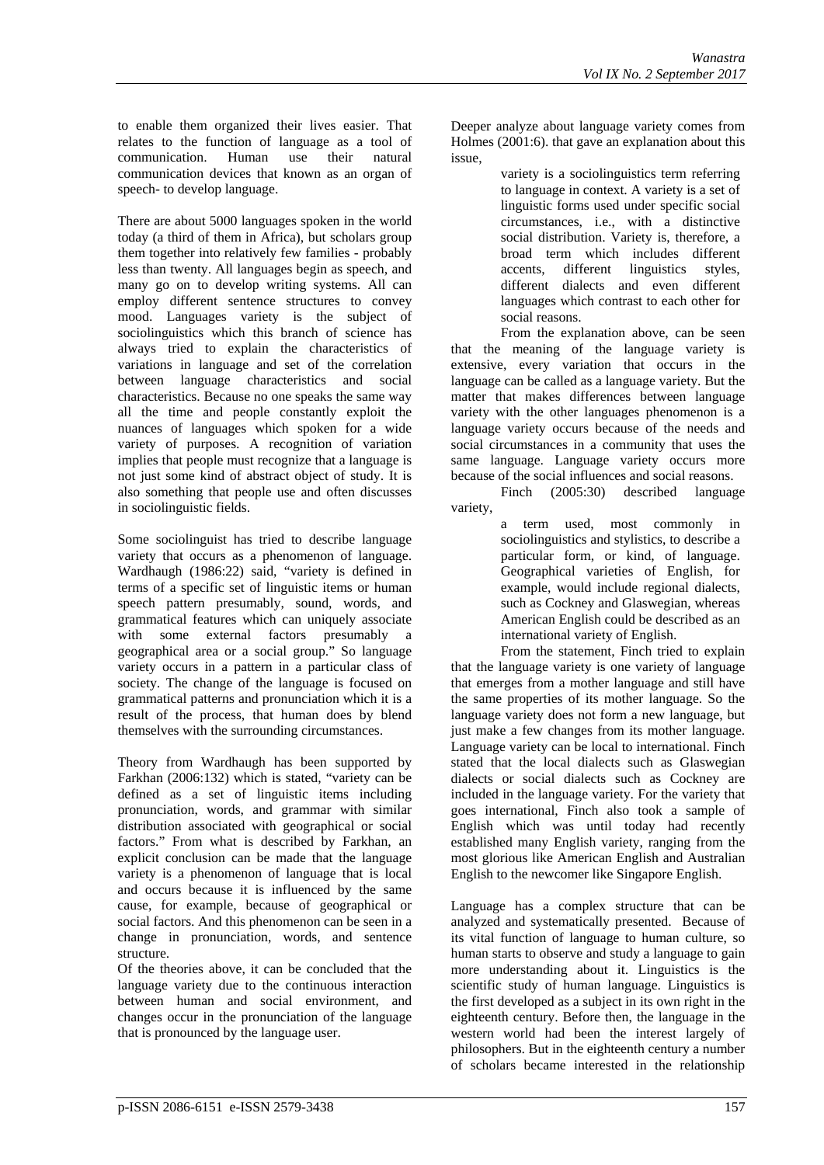to enable them organized their lives easier. That relates to the function of language as a tool of communication. Human use their natural communication. Human use their natural communication devices that known as an organ of speech- to develop language.

There are about 5000 languages spoken in the world today (a third of them in Africa), but scholars group them together into relatively few families - probably less than twenty. All languages begin as speech, and many go on to develop writing systems. All can employ different sentence structures to convey mood. Languages variety is the subject of sociolinguistics which this branch of science has always tried to explain the characteristics of variations in language and set of the correlation between language characteristics and social characteristics. Because no one speaks the same way all the time and people constantly exploit the nuances of languages which spoken for a wide variety of purposes. A recognition of variation implies that people must recognize that a language is not just some kind of abstract object of study. It is also something that people use and often discusses in sociolinguistic fields.

Some sociolinguist has tried to describe language variety that occurs as a phenomenon of language. Wardhaugh (1986:22) said, "variety is defined in terms of a specific set of linguistic items or human speech pattern presumably, sound, words, and grammatical features which can uniquely associate with some external factors presumably a geographical area or a social group." So language variety occurs in a pattern in a particular class of society. The change of the language is focused on grammatical patterns and pronunciation which it is a result of the process, that human does by blend themselves with the surrounding circumstances.

Theory from Wardhaugh has been supported by Farkhan (2006:132) which is stated, "variety can be defined as a set of linguistic items including pronunciation, words, and grammar with similar distribution associated with geographical or social factors." From what is described by Farkhan, an explicit conclusion can be made that the language variety is a phenomenon of language that is local and occurs because it is influenced by the same cause, for example, because of geographical or social factors. And this phenomenon can be seen in a change in pronunciation, words, and sentence structure.

Of the theories above, it can be concluded that the language variety due to the continuous interaction between human and social environment, and changes occur in the pronunciation of the language that is pronounced by the language user.

Deeper analyze about language variety comes from Holmes (2001:6). that gave an explanation about this issue,

variety is a sociolinguistics term referring to language in context. A variety is a set of linguistic forms used under specific social circumstances, i.e., with a distinctive social distribution. Variety is, therefore, a broad term which includes different accents, different linguistics styles, different dialects and even different languages which contrast to each other for social reasons.

From the explanation above, can be seen that the meaning of the language variety is extensive, every variation that occurs in the language can be called as a language variety. But the matter that makes differences between language variety with the other languages phenomenon is a language variety occurs because of the needs and social circumstances in a community that uses the same language. Language variety occurs more because of the social influences and social reasons.

Finch (2005:30) described language variety,

a term used, most commonly in sociolinguistics and stylistics, to describe a particular form, or kind, of language. Geographical varieties of English, for example, would include regional dialects, such as Cockney and Glaswegian, whereas American English could be described as an international variety of English.

From the statement, Finch tried to explain that the language variety is one variety of language that emerges from a mother language and still have the same properties of its mother language. So the language variety does not form a new language, but just make a few changes from its mother language. Language variety can be local to international. Finch stated that the local dialects such as Glaswegian dialects or social dialects such as Cockney are included in the language variety. For the variety that goes international, Finch also took a sample of English which was until today had recently established many English variety, ranging from the most glorious like American English and Australian English to the newcomer like Singapore English.

Language has a complex structure that can be analyzed and systematically presented. Because of its vital function of language to human culture, so human starts to observe and study a language to gain more understanding about it. Linguistics is the scientific study of human language. Linguistics is the first developed as a subject in its own right in the eighteenth century. Before then, the language in the western world had been the interest largely of philosophers. But in the eighteenth century a number of scholars became interested in the relationship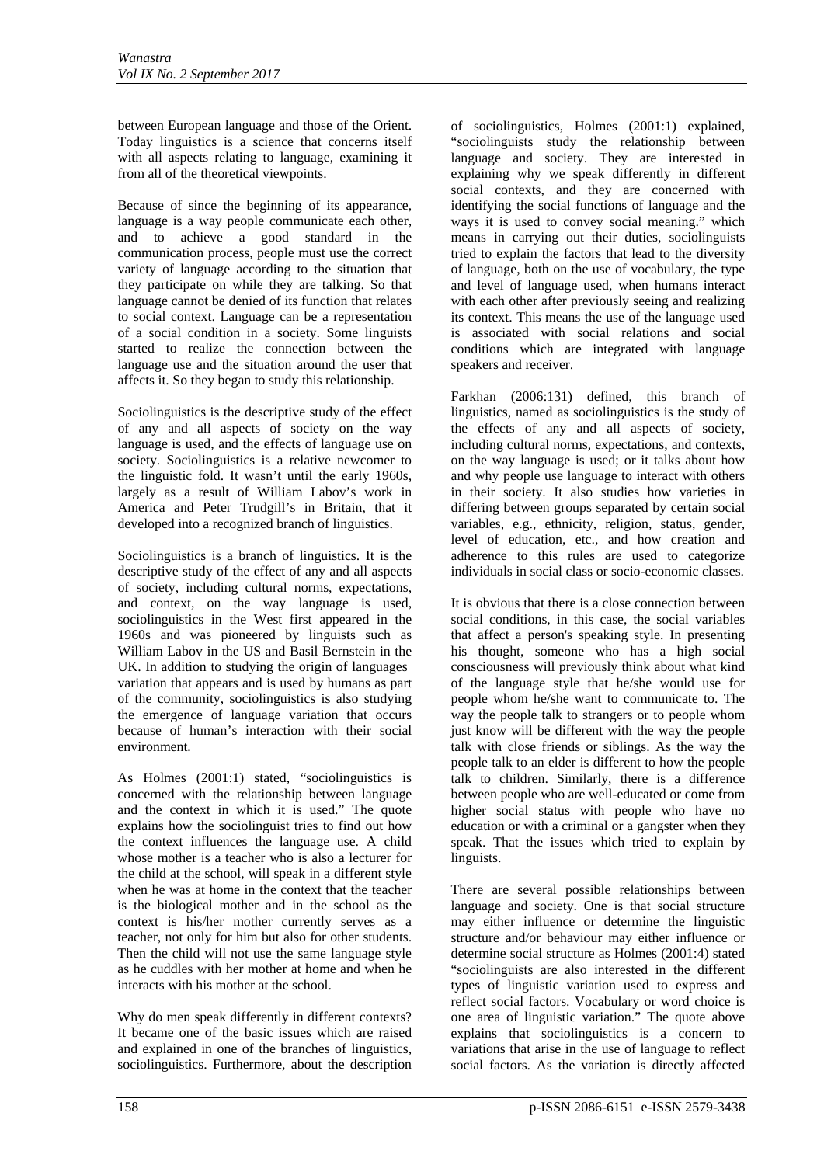between European language and those of the Orient. Today linguistics is a science that concerns itself with all aspects relating to language, examining it from all of the theoretical viewpoints.

Because of since the beginning of its appearance, language is a way people communicate each other, and to achieve a good standard in the communication process, people must use the correct variety of language according to the situation that they participate on while they are talking. So that language cannot be denied of its function that relates to social context. Language can be a representation of a social condition in a society. Some linguists started to realize the connection between the language use and the situation around the user that affects it. So they began to study this relationship.

Sociolinguistics is the descriptive study of the effect of any and all aspects of society on the way language is used, and the effects of language use on society. Sociolinguistics is a relative newcomer to the linguistic fold. It wasn't until the early 1960s, largely as a result of William Labov's work in America and Peter Trudgill's in Britain, that it developed into a recognized branch of linguistics.

Sociolinguistics is a branch of linguistics. It is the descriptive study of the effect of any and all aspects of society, including cultural norms, expectations, and context, on the way language is used, sociolinguistics in the West first appeared in the 1960s and was pioneered by linguists such as William Labov in the US and Basil Bernstein in the UK. In addition to studying the origin of languages variation that appears and is used by humans as part of the community, sociolinguistics is also studying the emergence of language variation that occurs because of human's interaction with their social environment.

As Holmes (2001:1) stated, "sociolinguistics is concerned with the relationship between language and the context in which it is used." The quote explains how the sociolinguist tries to find out how the context influences the language use. A child whose mother is a teacher who is also a lecturer for the child at the school, will speak in a different style when he was at home in the context that the teacher is the biological mother and in the school as the context is his/her mother currently serves as a teacher, not only for him but also for other students. Then the child will not use the same language style as he cuddles with her mother at home and when he interacts with his mother at the school.

Why do men speak differently in different contexts? It became one of the basic issues which are raised and explained in one of the branches of linguistics, sociolinguistics. Furthermore, about the description

of sociolinguistics, Holmes (2001:1) explained, "sociolinguists study the relationship between language and society. They are interested in explaining why we speak differently in different social contexts, and they are concerned with identifying the social functions of language and the ways it is used to convey social meaning." which means in carrying out their duties, sociolinguists tried to explain the factors that lead to the diversity of language, both on the use of vocabulary, the type and level of language used, when humans interact with each other after previously seeing and realizing its context. This means the use of the language used is associated with social relations and social conditions which are integrated with language speakers and receiver.

Farkhan (2006:131) defined, this branch of linguistics, named as sociolinguistics is the study of the effects of any and all aspects of society, including cultural norms, expectations, and contexts, on the way language is used; or it talks about how and why people use language to interact with others in their society. It also studies how varieties in differing between groups separated by certain social variables, e.g., ethnicity, religion, status, gender, level of education, etc., and how creation and adherence to this rules are used to categorize individuals in social class or socio-economic classes.

It is obvious that there is a close connection between social conditions, in this case, the social variables that affect a person's speaking style. In presenting his thought, someone who has a high social consciousness will previously think about what kind of the language style that he/she would use for people whom he/she want to communicate to. The way the people talk to strangers or to people whom just know will be different with the way the people talk with close friends or siblings. As the way the people talk to an elder is different to how the people talk to children. Similarly, there is a difference between people who are well-educated or come from higher social status with people who have no education or with a criminal or a gangster when they speak. That the issues which tried to explain by linguists.

There are several possible relationships between language and society. One is that social structure may either influence or determine the linguistic structure and/or behaviour may either influence or determine social structure as Holmes (2001:4) stated "sociolinguists are also interested in the different types of linguistic variation used to express and reflect social factors. Vocabulary or word choice is one area of linguistic variation." The quote above explains that sociolinguistics is a concern to variations that arise in the use of language to reflect social factors. As the variation is directly affected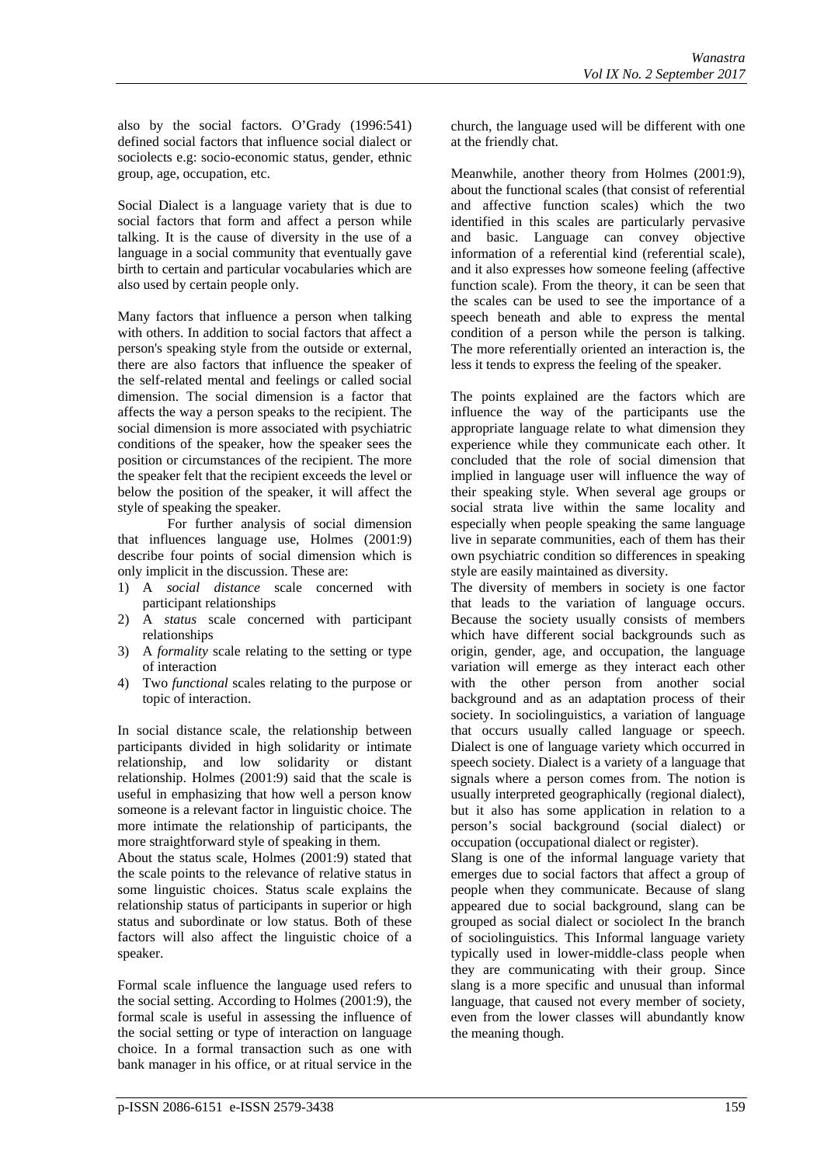also by the social factors. O'Grady (1996:541) defined social factors that influence social dialect or sociolects e.g: socio-economic status, gender, ethnic group, age, occupation, etc.

Social Dialect is a language variety that is due to social factors that form and affect a person while talking. It is the cause of diversity in the use of a language in a social community that eventually gave birth to certain and particular vocabularies which are also used by certain people only.

Many factors that influence a person when talking with others. In addition to social factors that affect a person's speaking style from the outside or external, there are also factors that influence the speaker of the self-related mental and feelings or called social dimension. The social dimension is a factor that affects the way a person speaks to the recipient. The social dimension is more associated with psychiatric conditions of the speaker, how the speaker sees the position or circumstances of the recipient. The more the speaker felt that the recipient exceeds the level or below the position of the speaker, it will affect the style of speaking the speaker.

For further analysis of social dimension that influences language use, Holmes (2001:9) describe four points of social dimension which is only implicit in the discussion. These are:

- 1) A *social distance* scale concerned with participant relationships
- 2) A *status* scale concerned with participant relationships
- 3) A *formality* scale relating to the setting or type of interaction
- 4) Two *functional* scales relating to the purpose or topic of interaction.

In social distance scale, the relationship between participants divided in high solidarity or intimate relationship, and low solidarity or distant relationship. Holmes (2001:9) said that the scale is useful in emphasizing that how well a person know someone is a relevant factor in linguistic choice. The more intimate the relationship of participants, the more straightforward style of speaking in them.

About the status scale, Holmes (2001:9) stated that the scale points to the relevance of relative status in some linguistic choices. Status scale explains the relationship status of participants in superior or high status and subordinate or low status. Both of these factors will also affect the linguistic choice of a speaker.

Formal scale influence the language used refers to the social setting. According to Holmes (2001:9), the formal scale is useful in assessing the influence of the social setting or type of interaction on language choice. In a formal transaction such as one with bank manager in his office, or at ritual service in the

church, the language used will be different with one at the friendly chat.

Meanwhile, another theory from Holmes (2001:9), about the functional scales (that consist of referential and affective function scales) which the two identified in this scales are particularly pervasive and basic. Language can convey objective information of a referential kind (referential scale), and it also expresses how someone feeling (affective function scale). From the theory, it can be seen that the scales can be used to see the importance of a speech beneath and able to express the mental condition of a person while the person is talking. The more referentially oriented an interaction is, the less it tends to express the feeling of the speaker.

The points explained are the factors which are influence the way of the participants use the appropriate language relate to what dimension they experience while they communicate each other. It concluded that the role of social dimension that implied in language user will influence the way of their speaking style. When several age groups or social strata live within the same locality and especially when people speaking the same language live in separate communities, each of them has their own psychiatric condition so differences in speaking style are easily maintained as diversity.

The diversity of members in society is one factor that leads to the variation of language occurs. Because the society usually consists of members which have different social backgrounds such as origin, gender, age, and occupation, the language variation will emerge as they interact each other with the other person from another social background and as an adaptation process of their society. In sociolinguistics, a variation of language that occurs usually called language or speech. Dialect is one of language variety which occurred in speech society. Dialect is a variety of a language that signals where a person comes from. The notion is usually interpreted geographically (regional dialect), but it also has some application in relation to a person's social background (social dialect) or occupation (occupational dialect or register).

Slang is one of the informal language variety that emerges due to social factors that affect a group of people when they communicate. Because of slang appeared due to social background, slang can be grouped as social dialect or sociolect In the branch of sociolinguistics. This Informal language variety typically used in lower-middle-class people when they are communicating with their group. Since slang is a more specific and unusual than informal language, that caused not every member of society, even from the lower classes will abundantly know the meaning though.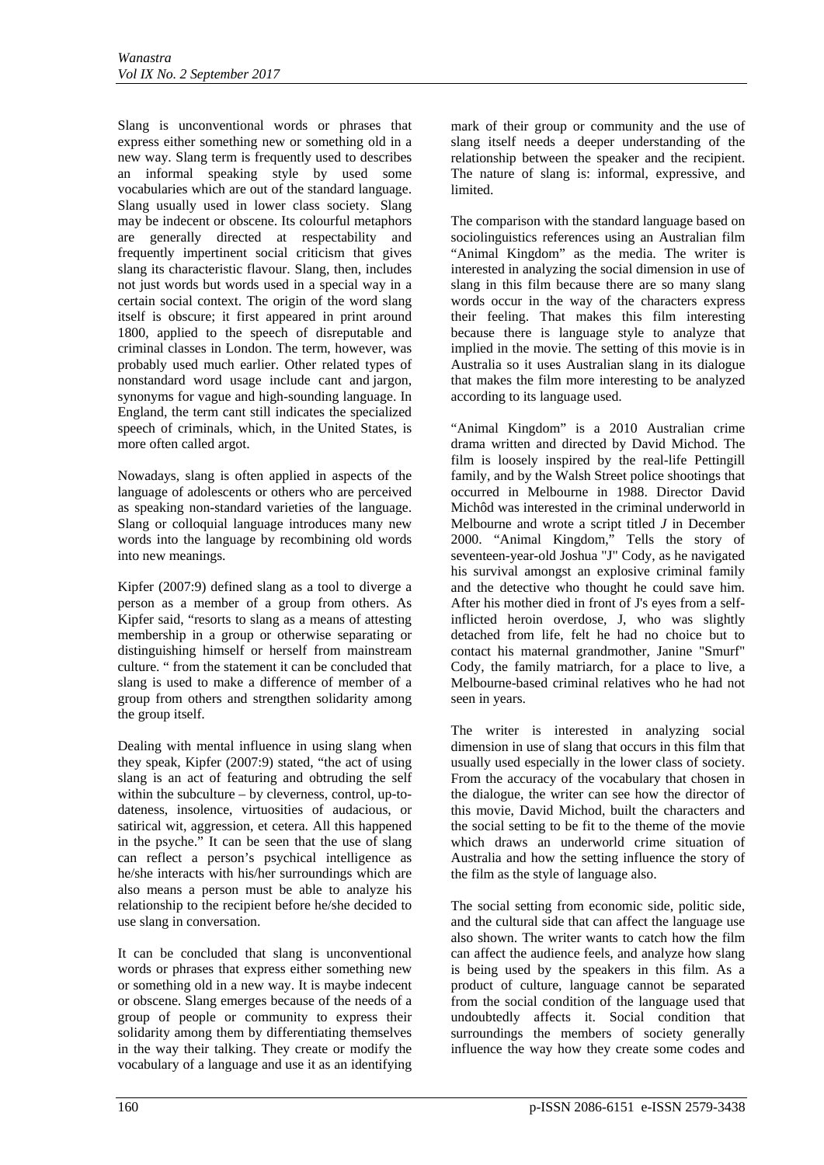Slang is unconventional words or phrases that express either something new or something old in a new way. Slang term is frequently used to describes an informal speaking style by used some vocabularies which are out of the standard language. Slang usually used in lower class society. Slang may be indecent or obscene. Its colourful metaphors are generally directed at respectability and frequently impertinent social criticism that gives slang its characteristic flavour. Slang, then, includes not just words but words used in a special way in a certain social context. The origin of the word slang itself is obscure; it first appeared in print around 1800, applied to the speech of disreputable and criminal classes in London. The term, however, was probably used much earlier. Other related types of nonstandard word usage include cant and [jargon,](http://www.britannica.com/EBchecked/topic/301405/jargon) synonyms for vague and high-sounding language. In England, the term cant still indicates the specialized speech of criminals, which, in the [United States,](http://www.britannica.com/EBchecked/topic/616563/United-States) is more often called argot.

Nowadays, slang is often applied in aspects of the language of adolescents or others who are perceived as speaking non-standard varieties of the language. Slang or colloquial language introduces many new words into the language by recombining old words into new meanings.

Kipfer (2007:9) defined slang as a tool to diverge a person as a member of a group from others. As Kipfer said, "resorts to slang as a means of attesting membership in a group or otherwise separating or distinguishing himself or herself from mainstream culture. " from the statement it can be concluded that slang is used to make a difference of member of a group from others and strengthen solidarity among the group itself.

Dealing with mental influence in using slang when they speak, Kipfer (2007:9) stated, "the act of using slang is an act of featuring and obtruding the self within the subculture – by cleverness, control, up-todateness, insolence, virtuosities of audacious, or satirical wit, aggression, et cetera. All this happened in the psyche." It can be seen that the use of slang can reflect a person's psychical intelligence as he/she interacts with his/her surroundings which are also means a person must be able to analyze his relationship to the recipient before he/she decided to use slang in conversation.

It can be concluded that slang is unconventional words or phrases that express either something new or something old in a new way. It is maybe indecent or obscene. Slang emerges because of the needs of a group of people or community to express their solidarity among them by differentiating themselves in the way their talking. They create or modify the vocabulary of a language and use it as an identifying

mark of their group or community and the use of slang itself needs a deeper understanding of the relationship between the speaker and the recipient. The nature of slang is: informal, expressive, and limited.

The comparison with the standard language based on sociolinguistics references using an Australian film "Animal Kingdom" as the media. The writer is interested in analyzing the social dimension in use of slang in this film because there are so many slang words occur in the way of the characters express their feeling. That makes this film interesting because there is language style to analyze that implied in the movie. The setting of this movie is in Australia so it uses Australian slang in its dialogue that makes the film more interesting to be analyzed according to its language used.

"Animal Kingdom" is a 2010 Australian crime drama written and directed by David Michod. The film is loosely inspired by the real-life Pettingill family, and by the Walsh Street police shootings that occurred in Melbourne in 1988. Director David Michôd was interested in the criminal underworld in Melbourne and wrote a script titled *J* in December 2000. "Animal Kingdom," Tells the story of seventeen-year-old Joshua "J" Cody, as he navigated his survival amongst an explosive criminal family and the detective who thought he could save him. After his mother died in front of J's eyes from a selfinflicted heroin overdose, J, who was slightly detached from life, felt he had no choice but to contact his maternal grandmother, Janine "Smurf" Cody, the family matriarch, for a place to live, a Melbourne-based criminal relatives who he had not seen in years.

The writer is interested in analyzing social dimension in use of slang that occurs in this film that usually used especially in the lower class of society. From the accuracy of the vocabulary that chosen in the dialogue, the writer can see how the director of this movie, David Michod, built the characters and the social setting to be fit to the theme of the movie which draws an underworld crime situation of Australia and how the setting influence the story of the film as the style of language also.

The social setting from economic side, politic side, and the cultural side that can affect the language use also shown. The writer wants to catch how the film can affect the audience feels, and analyze how slang is being used by the speakers in this film. As a product of culture, language cannot be separated from the social condition of the language used that undoubtedly affects it. Social condition that surroundings the members of society generally influence the way how they create some codes and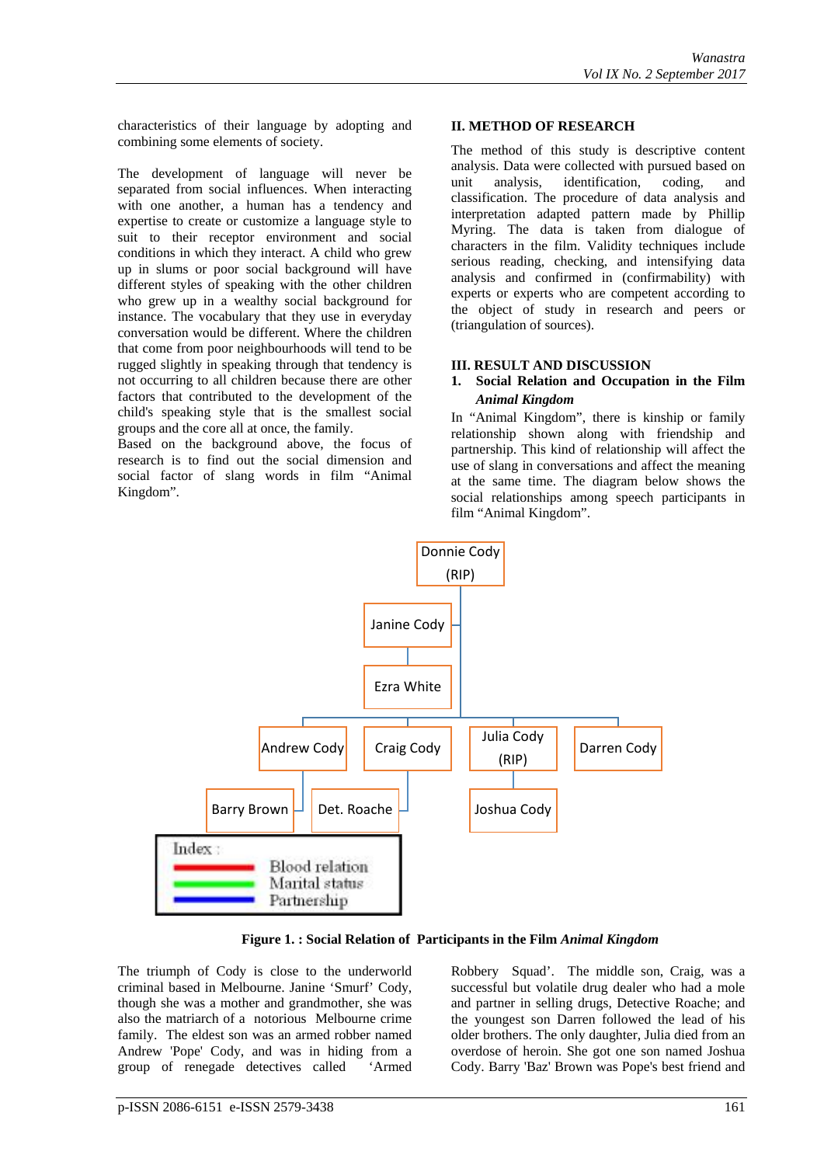characteristics of their language by adopting and combining some elements of society.

The development of language will never be separated from social influences. When interacting with one another, a human has a tendency and expertise to create or customize a language style to suit to their receptor environment and social conditions in which they interact. A child who grew up in slums or poor social background will have different styles of speaking with the other children who grew up in a wealthy social background for instance. The vocabulary that they use in everyday conversation would be different. Where the children that come from poor neighbourhoods will tend to be rugged slightly in speaking through that tendency is not occurring to all children because there are other factors that contributed to the development of the child's speaking style that is the smallest social groups and the core all at once, the family.

Based on the background above, the focus of research is to find out the social dimension and social factor of slang words in film "Animal Kingdom".

#### **II. METHOD OF RESEARCH**

The method of this study is descriptive content analysis. Data were collected with pursued based on unit analysis, identification, coding, and classification. The procedure of data analysis and interpretation adapted pattern made by Phillip Myring. The data is taken from dialogue of characters in the film. Validity techniques include serious reading, checking, and intensifying data analysis and confirmed in (confirmability) with experts or experts who are competent according to the object of study in research and peers or (triangulation of sources).

#### **III. RESULT AND DISCUSSION**

#### **1. Social Relation and Occupation in the Film**  *Animal Kingdom*

In "Animal Kingdom", there is kinship or family relationship shown along with friendship and partnership. This kind of relationship will affect the use of slang in conversations and affect the meaning at the same time. The diagram below shows the social relationships among speech participants in film "Animal Kingdom".



**Figure 1. : Social Relation of Participants in the Film** *Animal Kingdom*

The triumph of Cody is close to the underworld criminal based in Melbourne. Janine 'Smurf' Cody, though she was a mother and grandmother, she was also the matriarch of a notorious Melbourne crime family. The eldest son was an armed robber named Andrew 'Pope' Cody, and was in hiding from a group of renegade detectives called 'Armed

Robbery Squad'. The middle son, Craig, was a successful but volatile drug dealer who had a mole and partner in selling drugs, Detective Roache; and the youngest son Darren followed the lead of his older brothers. The only daughter, Julia died from an overdose of heroin. She got one son named Joshua Cody. Barry 'Baz' Brown was Pope's best friend and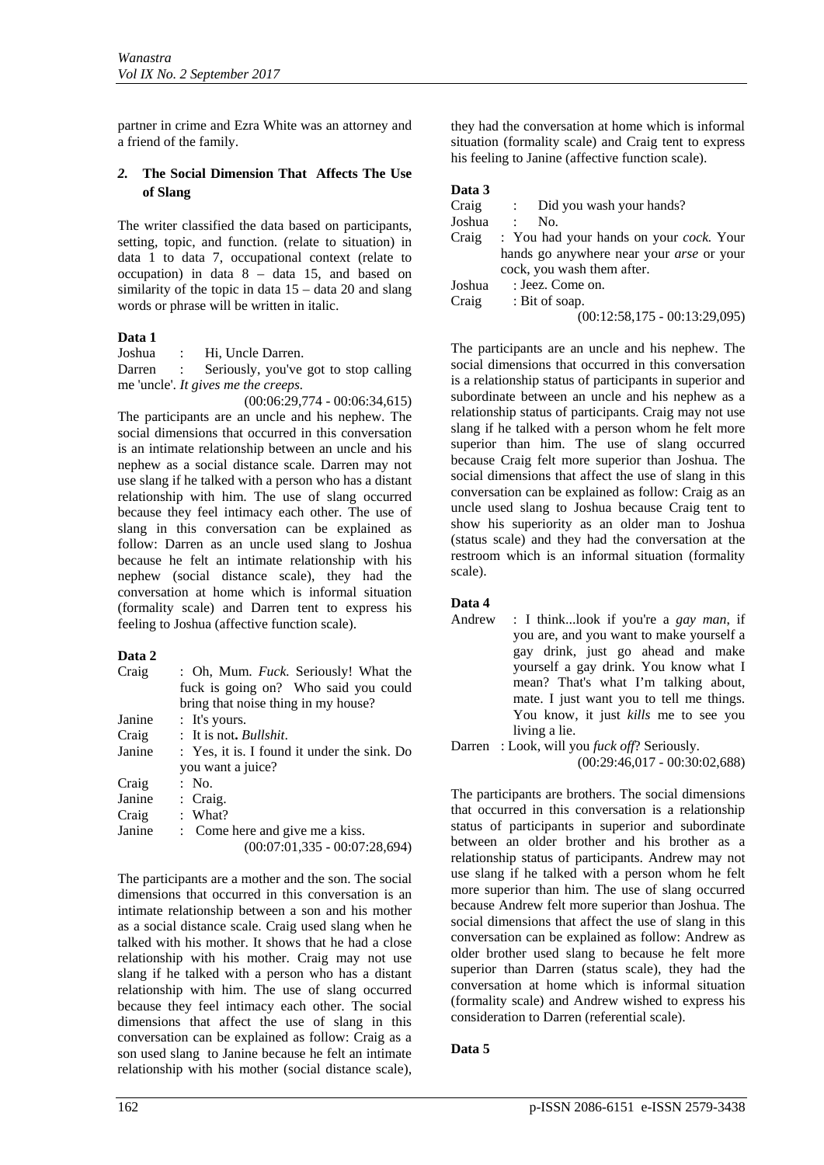partner in crime and Ezra White was an attorney and a friend of the family.

# *2.* **The Social Dimension That Affects The Use of Slang**

The writer classified the data based on participants, setting, topic, and function. (relate to situation) in data 1 to data 7, occupational context (relate to occupation) in data  $8 -$  data 15, and based on similarity of the topic in data 15 – data 20 and slang words or phrase will be written in italic.

## **Data 1**

Joshua : Hi, Uncle Darren.

Darren : Seriously, you've got to stop calling me 'uncle'. *It gives me the creeps.*

(00:06:29,774 - 00:06:34,615) The participants are an uncle and his nephew. The social dimensions that occurred in this conversation is an intimate relationship between an uncle and his nephew as a social distance scale. Darren may not use slang if he talked with a person who has a distant relationship with him. The use of slang occurred because they feel intimacy each other. The use of slang in this conversation can be explained as follow: Darren as an uncle used slang to Joshua because he felt an intimate relationship with his nephew (social distance scale), they had the conversation at home which is informal situation (formality scale) and Darren tent to express his feeling to Joshua (affective function scale).

# **Data 2**

| Craig  | : Oh, Mum. <i>Fuck</i> . Seriously! What the<br>fuck is going on? Who said you could |
|--------|--------------------------------------------------------------------------------------|
|        | bring that noise thing in my house?                                                  |
| Janine | : It's yours.                                                                        |
| Craig  | : It is not. <i>Bullshit</i> .                                                       |
| Janine | : Yes, it is. I found it under the sink. Do                                          |
|        | you want a juice?                                                                    |
| Craig  | $:$ No.                                                                              |
| Janine | $\therefore$ Craig.                                                                  |
| Craig  | $:$ What?                                                                            |
| Janine | : Come here and give me a kiss.<br>$(00:07:01,335 - 00:07:28,694)$                   |

The participants are a mother and the son. The social dimensions that occurred in this conversation is an intimate relationship between a son and his mother as a social distance scale. Craig used slang when he talked with his mother. It shows that he had a close relationship with his mother. Craig may not use slang if he talked with a person who has a distant relationship with him. The use of slang occurred because they feel intimacy each other. The social dimensions that affect the use of slang in this conversation can be explained as follow: Craig as a son used slang to Janine because he felt an intimate relationship with his mother (social distance scale),

they had the conversation at home which is informal situation (formality scale) and Craig tent to express his feeling to Janine (affective function scale).

# **Data 3**

| Craig  | Did you wash your hands?                        |  |  |  |
|--------|-------------------------------------------------|--|--|--|
| Joshua | No.                                             |  |  |  |
| Craig  | : You had your hands on your <i>cock</i> . Your |  |  |  |
|        | hands go anywhere near your <i>arse</i> or your |  |  |  |
|        | cock, you wash them after.                      |  |  |  |
| Joshua | : Jeez. Come on.                                |  |  |  |
| Craig  | : Bit of soap.                                  |  |  |  |
|        | $(00:12:58,175 - 00:13:29,095)$                 |  |  |  |

The participants are an uncle and his nephew. The social dimensions that occurred in this conversation is a relationship status of participants in superior and subordinate between an uncle and his nephew as a relationship status of participants. Craig may not use slang if he talked with a person whom he felt more superior than him. The use of slang occurred because Craig felt more superior than Joshua. The social dimensions that affect the use of slang in this conversation can be explained as follow: Craig as an uncle used slang to Joshua because Craig tent to show his superiority as an older man to Joshua (status scale) and they had the conversation at the restroom which is an informal situation (formality scale).

# **Data 4**

Andrew : I think...look if you're a *gay man*, if you are, and you want to make yourself a gay drink, just go ahead and make yourself a gay drink. You know what I mean? That's what I'm talking about, mate. I just want you to tell me things. You know, it just *kills* me to see you living a lie.

Darren : Look, will you *fuck off*? Seriously. (00:29:46,017 - 00:30:02,688)

The participants are brothers. The social dimensions that occurred in this conversation is a relationship status of participants in superior and subordinate between an older brother and his brother as a relationship status of participants. Andrew may not use slang if he talked with a person whom he felt more superior than him. The use of slang occurred because Andrew felt more superior than Joshua. The social dimensions that affect the use of slang in this conversation can be explained as follow: Andrew as older brother used slang to because he felt more superior than Darren (status scale), they had the conversation at home which is informal situation (formality scale) and Andrew wished to express his consideration to Darren (referential scale).

# **Data 5**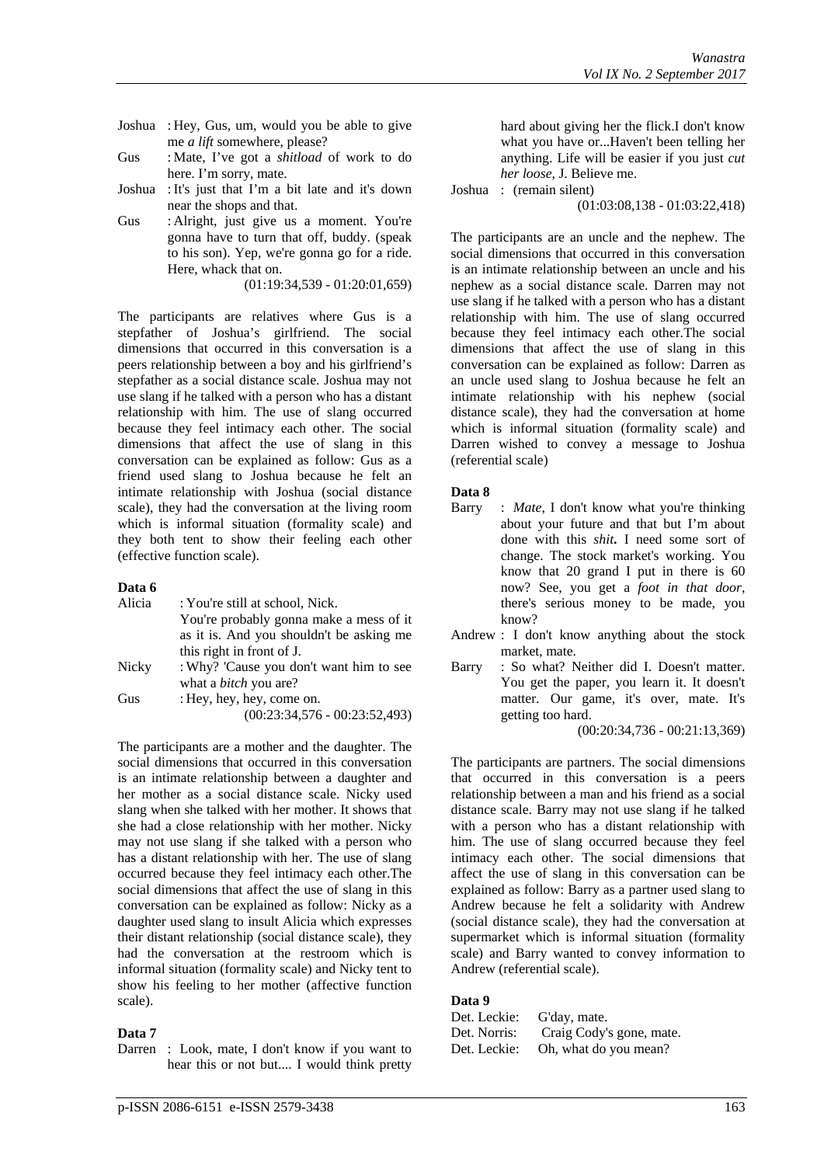- Joshua : Hey, Gus, um, would you be able to give me *a lift* somewhere, please?
- Gus : Mate, I've got a *shitload* of work to do here. I'm sorry, mate.
- Joshua : It's just that I'm a bit late and it's down near the shops and that.
- Gus : Alright, just give us a moment. You're gonna have to turn that off, buddy. (speak to his son). Yep, we're gonna go for a ride. Here, whack that on.

(01:19:34,539 - 01:20:01,659)

The participants are relatives where Gus is a stepfather of Joshua's girlfriend. The social dimensions that occurred in this conversation is a peers relationship between a boy and his girlfriend's stepfather as a social distance scale. Joshua may not use slang if he talked with a person who has a distant relationship with him. The use of slang occurred because they feel intimacy each other. The social dimensions that affect the use of slang in this conversation can be explained as follow: Gus as a friend used slang to Joshua because he felt an intimate relationship with Joshua (social distance scale), they had the conversation at the living room which is informal situation (formality scale) and they both tent to show their feeling each other (effective function scale).

#### **Data 6**

| : You're still at school, Nick.          |
|------------------------------------------|
| You're probably gonna make a mess of it  |
| as it is. And you shouldn't be asking me |
| this right in front of J.                |
| : Why? 'Cause you don't want him to see  |
| what a <i>bitch</i> you are?             |
| : Hey, hey, hey, come on.                |
| $(00:23:34,576 - 00:23:52,493)$          |
|                                          |

The participants are a mother and the daughter. The social dimensions that occurred in this conversation is an intimate relationship between a daughter and her mother as a social distance scale. Nicky used slang when she talked with her mother. It shows that she had a close relationship with her mother. Nicky may not use slang if she talked with a person who has a distant relationship with her. The use of slang occurred because they feel intimacy each other.The social dimensions that affect the use of slang in this conversation can be explained as follow: Nicky as a daughter used slang to insult Alicia which expresses their distant relationship (social distance scale), they had the conversation at the restroom which is informal situation (formality scale) and Nicky tent to show his feeling to her mother (affective function scale).

# **Data 7**

hard about giving her the flick.I don't know what you have or...Haven't been telling her anything. Life will be easier if you just *cut her loose*, J. Believe me.

Joshua : (remain silent)

(01:03:08,138 - 01:03:22,418)

The participants are an uncle and the nephew. The social dimensions that occurred in this conversation is an intimate relationship between an uncle and his nephew as a social distance scale. Darren may not use slang if he talked with a person who has a distant relationship with him. The use of slang occurred because they feel intimacy each other.The social dimensions that affect the use of slang in this conversation can be explained as follow: Darren as an uncle used slang to Joshua because he felt an intimate relationship with his nephew (social distance scale), they had the conversation at home which is informal situation (formality scale) and Darren wished to convey a message to Joshua (referential scale)

#### **Data 8**

- Barry : *Mate*, I don't know what you're thinking about your future and that but I'm about done with this *shit***.** I need some sort of change. The stock market's working. You know that 20 grand I put in there is 60 now? See, you get a *foot in that door*, there's serious money to be made, you know?
- Andrew : I don't know anything about the stock market, mate.
- Barry : So what? Neither did I. Doesn't matter. You get the paper, you learn it. It doesn't matter. Our game, it's over, mate. It's getting too hard.

(00:20:34,736 - 00:21:13,369)

The participants are partners. The social dimensions that occurred in this conversation is a peers relationship between a man and his friend as a social distance scale. Barry may not use slang if he talked with a person who has a distant relationship with him. The use of slang occurred because they feel intimacy each other. The social dimensions that affect the use of slang in this conversation can be explained as follow: Barry as a partner used slang to Andrew because he felt a solidarity with Andrew (social distance scale), they had the conversation at supermarket which is informal situation (formality scale) and Barry wanted to convey information to Andrew (referential scale).

#### **Data 9**

| Det. Leckie: | G'day, mate.                          |
|--------------|---------------------------------------|
|              | Det. Norris: Craig Cody's gone, mate. |
|              | Det. Leckie: Oh, what do you mean?    |

Darren : Look, mate, I don't know if you want to hear this or not but.... I would think pretty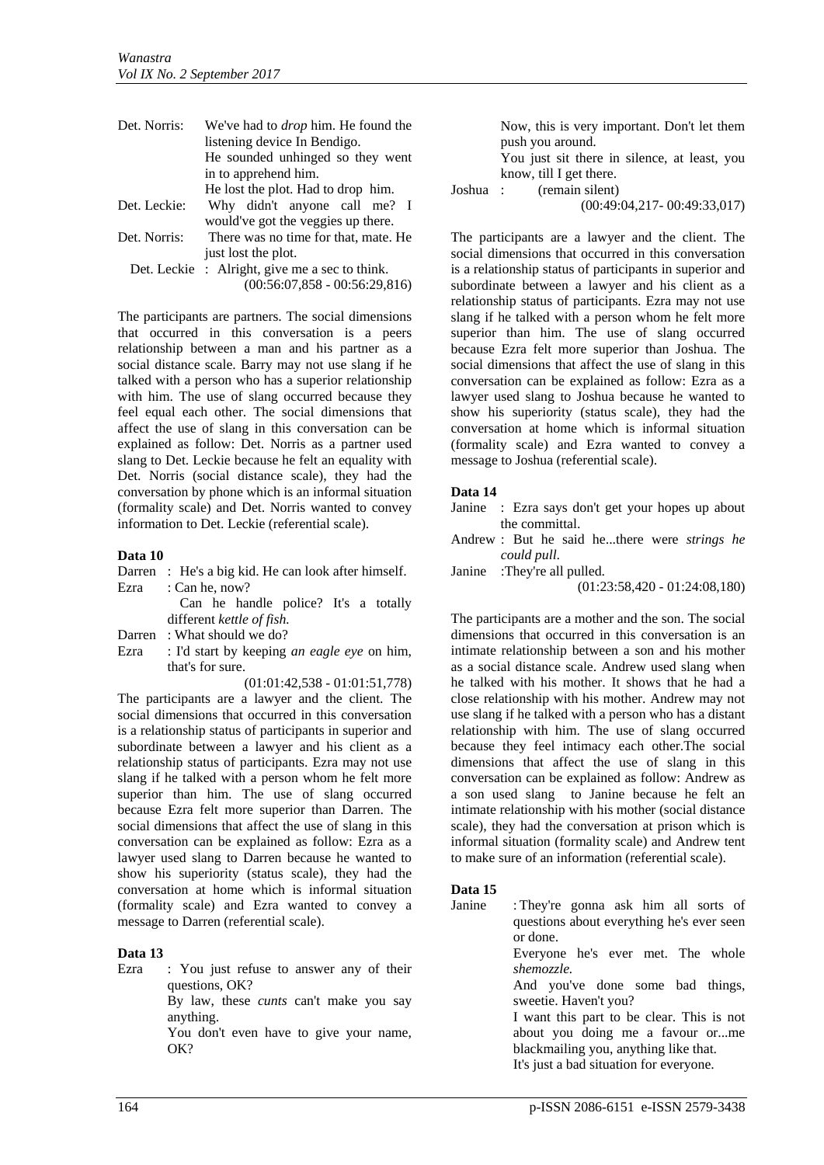| Det. Norris: | We've had to <i>drop</i> him. He found the     |
|--------------|------------------------------------------------|
|              | listening device In Bendigo.                   |
|              | He sounded unhinged so they went               |
|              | in to apprehend him.                           |
|              | He lost the plot. Had to drop him.             |
| Det. Leckie: | Why didn't anyone call me? I                   |
|              | would've got the veggies up there.             |
| Det. Norris: | There was no time for that, mate. He           |
|              | just lost the plot.                            |
|              | Det. Leckie : Alright, give me a sec to think. |
|              | $(00:56:07,858 - 00:56:29,816)$                |

The participants are partners. The social dimensions that occurred in this conversation is a peers relationship between a man and his partner as a social distance scale. Barry may not use slang if he talked with a person who has a superior relationship with him. The use of slang occurred because they feel equal each other. The social dimensions that affect the use of slang in this conversation can be explained as follow: Det. Norris as a partner used slang to Det. Leckie because he felt an equality with Det. Norris (social distance scale), they had the conversation by phone which is an informal situation (formality scale) and Det. Norris wanted to convey information to Det. Leckie (referential scale).

#### **Data 10**

Darren : He's a big kid. He can look after himself. Ezra : Can he, now?

> Can he handle police? It's a totally different *kettle of fish.*

- Darren: What should we do?
- Ezra : I'd start by keeping *an eagle eye* on him, that's for sure.

(01:01:42,538 - 01:01:51,778)

The participants are a lawyer and the client. The social dimensions that occurred in this conversation is a relationship status of participants in superior and subordinate between a lawyer and his client as a relationship status of participants. Ezra may not use slang if he talked with a person whom he felt more superior than him. The use of slang occurred because Ezra felt more superior than Darren. The social dimensions that affect the use of slang in this conversation can be explained as follow: Ezra as a lawyer used slang to Darren because he wanted to show his superiority (status scale), they had the conversation at home which is informal situation (formality scale) and Ezra wanted to convey a message to Darren (referential scale).

#### **Data 13**

Ezra : You just refuse to answer any of their questions, OK? By law, these *cunts* can't make you say anything. You don't even have to give your name,

OK?

Now, this is very important. Don't let them push you around.

You just sit there in silence, at least, you know, till I get there.

Joshua : (remain silent)

(00:49:04,217- 00:49:33,017)

The participants are a lawyer and the client. The social dimensions that occurred in this conversation is a relationship status of participants in superior and subordinate between a lawyer and his client as a relationship status of participants. Ezra may not use slang if he talked with a person whom he felt more superior than him. The use of slang occurred because Ezra felt more superior than Joshua. The social dimensions that affect the use of slang in this conversation can be explained as follow: Ezra as a lawyer used slang to Joshua because he wanted to show his superiority (status scale), they had the conversation at home which is informal situation (formality scale) and Ezra wanted to convey a message to Joshua (referential scale).

#### **Data 14**

- Janine : Ezra says don't get your hopes up about the committal.
- Andrew : But he said he...there were *strings he could pull*.

Janine :They're all pulled.

(01:23:58,420 - 01:24:08,180)

The participants are a mother and the son. The social dimensions that occurred in this conversation is an intimate relationship between a son and his mother as a social distance scale. Andrew used slang when he talked with his mother. It shows that he had a close relationship with his mother. Andrew may not use slang if he talked with a person who has a distant relationship with him. The use of slang occurred because they feel intimacy each other.The social dimensions that affect the use of slang in this conversation can be explained as follow: Andrew as a son used slang to Janine because he felt an intimate relationship with his mother (social distance scale), they had the conversation at prison which is informal situation (formality scale) and Andrew tent to make sure of an information (referential scale).

# **Data 15**

Janine : They're gonna ask him all sorts of questions about everything he's ever seen or done. Everyone he's ever met. The whole *shemozzle.* And you've done some bad things, sweetie. Haven't you? I want this part to be clear. This is not about you doing me a favour or...me

blackmailing you, anything like that.

It's just a bad situation for everyone.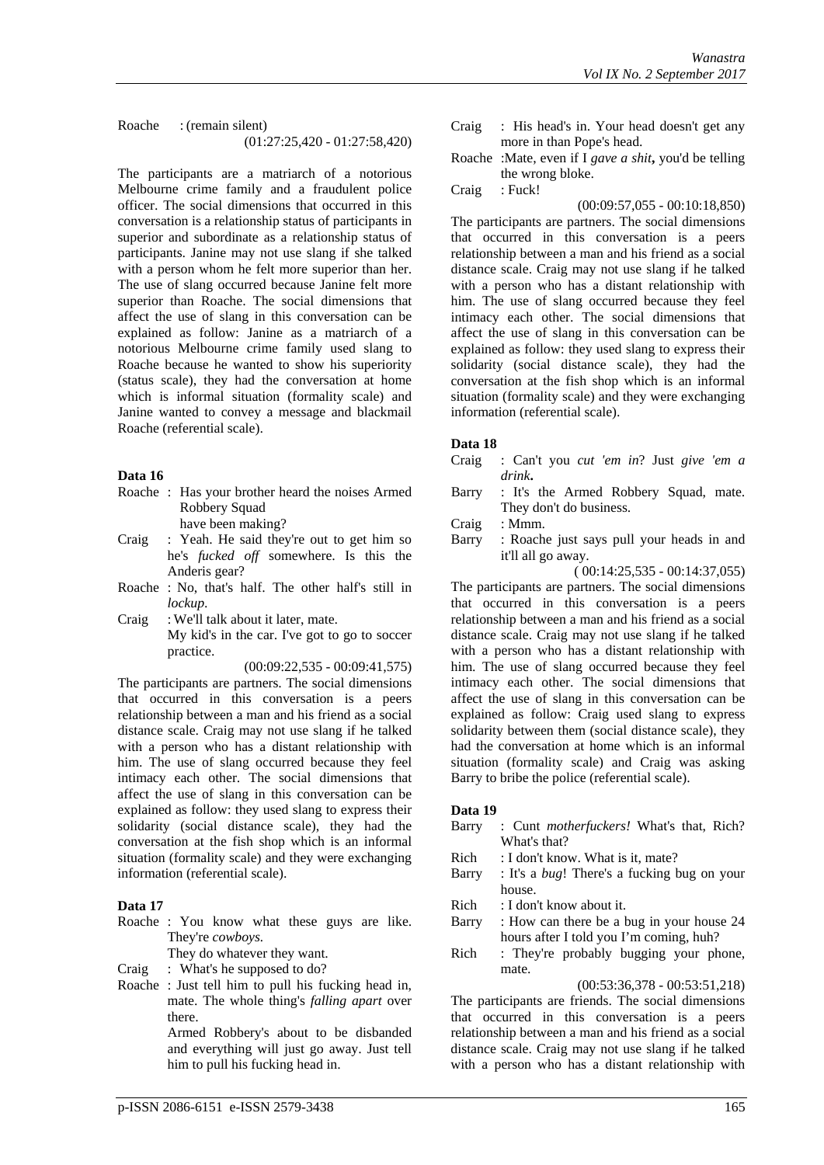Roache : (remain silent) (01:27:25,420 - 01:27:58,420)

The participants are a matriarch of a notorious Melbourne crime family and a fraudulent police officer. The social dimensions that occurred in this conversation is a relationship status of participants in superior and subordinate as a relationship status of participants. Janine may not use slang if she talked with a person whom he felt more superior than her. The use of slang occurred because Janine felt more superior than Roache. The social dimensions that affect the use of slang in this conversation can be explained as follow: Janine as a matriarch of a notorious Melbourne crime family used slang to Roache because he wanted to show his superiority (status scale), they had the conversation at home which is informal situation (formality scale) and Janine wanted to convey a message and blackmail Roache (referential scale).

#### **Data 16**

- Roache : Has your brother heard the noises Armed Robbery Squad have been making?
- Craig : Yeah. He said they're out to get him so he's *fucked off* somewhere. Is this the
- Anderis gear? Roache : No, that's half. The other half's still in *lockup*.
- Craig : We'll talk about it later, mate. My kid's in the car. I've got to go to soccer practice.

(00:09:22,535 - 00:09:41,575)

The participants are partners. The social dimensions that occurred in this conversation is a peers relationship between a man and his friend as a social distance scale. Craig may not use slang if he talked with a person who has a distant relationship with him. The use of slang occurred because they feel intimacy each other. The social dimensions that affect the use of slang in this conversation can be explained as follow: they used slang to express their solidarity (social distance scale), they had the conversation at the fish shop which is an informal situation (formality scale) and they were exchanging information (referential scale).

# **Data 17**

Roache : You know what these guys are like. They're *cowboys.*

They do whatever they want.

- Craig : What's he supposed to do?
- Roache : Just tell him to pull his fucking head in, mate. The whole thing's *falling apart* over there.

Armed Robbery's about to be disbanded and everything will just go away. Just tell him to pull his fucking head in.

- Craig : His head's in. Your head doesn't get any more in than Pope's head.
- Roache :Mate, even if I *gave a shit***,** you'd be telling the wrong bloke. Craig : Fuck!

(00:09:57,055 - 00:10:18,850) The participants are partners. The social dimensions that occurred in this conversation is a peers relationship between a man and his friend as a social distance scale. Craig may not use slang if he talked with a person who has a distant relationship with him. The use of slang occurred because they feel intimacy each other. The social dimensions that affect the use of slang in this conversation can be explained as follow: they used slang to express their solidarity (social distance scale), they had the conversation at the fish shop which is an informal situation (formality scale) and they were exchanging information (referential scale).

# **Data 18**

- Craig : Can't you *cut 'em in*? Just *give 'em a drink***.**
- Barry : It's the Armed Robbery Squad, mate. They don't do business.
- Craig : Mmm.
- Barry : Roache just says pull your heads in and it'll all go away.

( 00:14:25,535 - 00:14:37,055)

The participants are partners. The social dimensions that occurred in this conversation is a peers relationship between a man and his friend as a social distance scale. Craig may not use slang if he talked with a person who has a distant relationship with him. The use of slang occurred because they feel intimacy each other. The social dimensions that affect the use of slang in this conversation can be explained as follow: Craig used slang to express solidarity between them (social distance scale), they had the conversation at home which is an informal situation (formality scale) and Craig was asking Barry to bribe the police (referential scale).

# **Data 19**

- Barry : Cunt *motherfuckers!* What's that, Rich? What's that?
- Rich : I don't know. What is it, mate?
- Barry : It's a *bug*! There's a fucking bug on your house.
- Rich : I don't know about it.
- Barry : How can there be a bug in your house 24 hours after I told you I'm coming, huh?
- Rich : They're probably bugging your phone, mate.

# (00:53:36,378 - 00:53:51,218)

The participants are friends. The social dimensions that occurred in this conversation is a peers relationship between a man and his friend as a social distance scale. Craig may not use slang if he talked with a person who has a distant relationship with